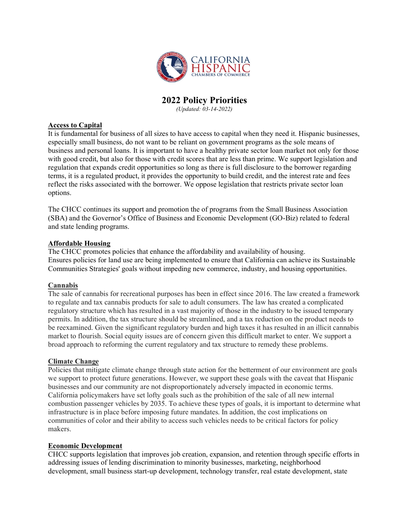

# **2022 Policy Priorities**

*(Updated: 03-14-2022)*

# **Access to Capital**

It is fundamental for business of all sizes to have access to capital when they need it. Hispanic businesses, especially small business, do not want to be reliant on government programs as the sole means of business and personal loans. It is important to have a healthy private sector loan market not only for those with good credit, but also for those with credit scores that are less than prime. We support legislation and regulation that expands credit opportunities so long as there is full disclosure to the borrower regarding terms, it is a regulated product, it provides the opportunity to build credit, and the interest rate and fees reflect the risks associated with the borrower. We oppose legislation that restricts private sector loan options.

The CHCC continues its support and promotion the of programs from the Small Business Association (SBA) and the Governor's Office of Business and Economic Development (GO-Biz) related to federal and state lending programs.

# **Affordable Housing**

The CHCC promotes policies that enhance the affordability and availability of housing. Ensures policies for land use are being implemented to ensure that California can achieve its Sustainable Communities Strategies' goals without impeding new commerce, industry, and housing opportunities.

### **Cannabis**

The sale of cannabis for recreational purposes has been in effect since 2016. The law created a framework to regulate and tax cannabis products for sale to adult consumers. The law has created a complicated regulatory structure which has resulted in a vast majority of those in the industry to be issued temporary permits. In addition, the tax structure should be streamlined, and a tax reduction on the product needs to be reexamined. Given the significant regulatory burden and high taxes it has resulted in an illicit cannabis market to flourish. Social equity issues are of concern given this difficult market to enter. We support a broad approach to reforming the current regulatory and tax structure to remedy these problems.

### **Climate Change**

Policies that mitigate climate change through state action for the betterment of our environment are goals we support to protect future generations. However, we support these goals with the caveat that Hispanic businesses and our community are not disproportionately adversely impacted in economic terms. California policymakers have set lofty goals such as the prohibition of the sale of all new internal combustion passenger vehicles by 2035. To achieve these types of goals, it is important to determine what infrastructure is in place before imposing future mandates. In addition, the cost implications on communities of color and their ability to access such vehicles needs to be critical factors for policy makers.

### **Economic Development**

CHCC supports legislation that improves job creation, expansion, and retention through specific efforts in addressing issues of lending discrimination to minority businesses, marketing, neighborhood development, small business start-up development, technology transfer, real estate development, state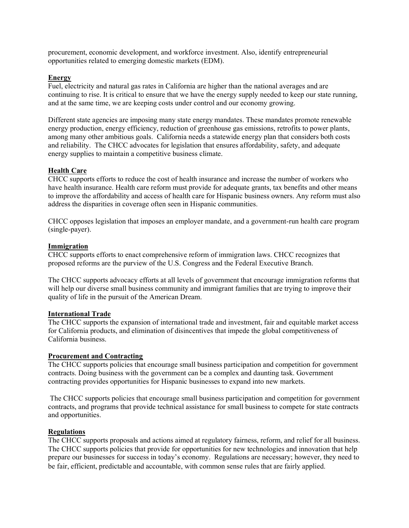procurement, economic development, and workforce investment. Also, identify entrepreneurial opportunities related to emerging domestic markets (EDM).

#### **Energy**

Fuel, electricity and natural gas rates in California are higher than the national averages and are continuing to rise. It is critical to ensure that we have the energy supply needed to keep our state running, and at the same time, we are keeping costs under control and our economy growing.

Different state agencies are imposing many state energy mandates. These mandates promote renewable energy production, energy efficiency, reduction of greenhouse gas emissions, retrofits to power plants, among many other ambitious goals. California needs a statewide energy plan that considers both costs and reliability. The CHCC advocates for legislation that ensures affordability, safety, and adequate energy supplies to maintain a competitive business climate.

#### **Health Care**

CHCC supports efforts to reduce the cost of health insurance and increase the number of workers who have health insurance. Health care reform must provide for adequate grants, tax benefits and other means to improve the affordability and access of health care for Hispanic business owners. Any reform must also address the disparities in coverage often seen in Hispanic communities.

CHCC opposes legislation that imposes an employer mandate, and a government-run health care program (single-payer).

#### **Immigration**

CHCC supports efforts to enact comprehensive reform of immigration laws. CHCC recognizes that proposed reforms are the purview of the U.S. Congress and the Federal Executive Branch.

The CHCC supports advocacy efforts at all levels of government that encourage immigration reforms that will help our diverse small business community and immigrant families that are trying to improve their quality of life in the pursuit of the American Dream.

#### **International Trade**

The CHCC supports the expansion of international trade and investment, fair and equitable market access for California products, and elimination of disincentives that impede the global competitiveness of California business.

#### **Procurement and Contracting**

The CHCC supports policies that encourage small business participation and competition for government contracts. Doing business with the government can be a complex and daunting task. Government contracting provides opportunities for Hispanic businesses to expand into new markets.

The CHCC supports policies that encourage small business participation and competition for government contracts, and programs that provide technical assistance for small business to compete for state contracts and opportunities.

### **Regulations**

The CHCC supports proposals and actions aimed at regulatory fairness, reform, and relief for all business. The CHCC supports policies that provide for opportunities for new technologies and innovation that help prepare our businesses for success in today's economy. Regulations are necessary; however, they need to be fair, efficient, predictable and accountable, with common sense rules that are fairly applied.